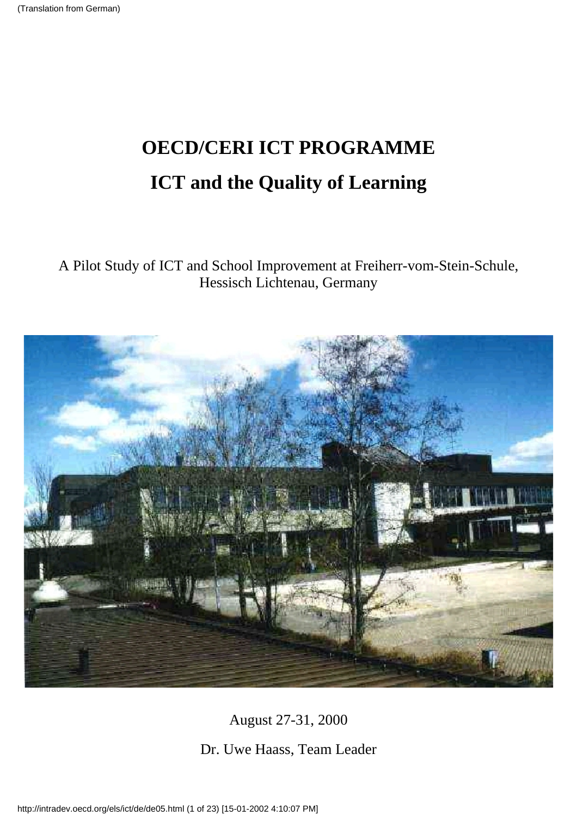# **OECD/CERI ICT PROGRAMME ICT and the Quality of Learning**

A Pilot Study of ICT and School Improvement at Freiherr-vom-Stein-Schule, Hessisch Lichtenau, Germany



August 27-31, 2000

Dr. Uwe Haass, Team Leader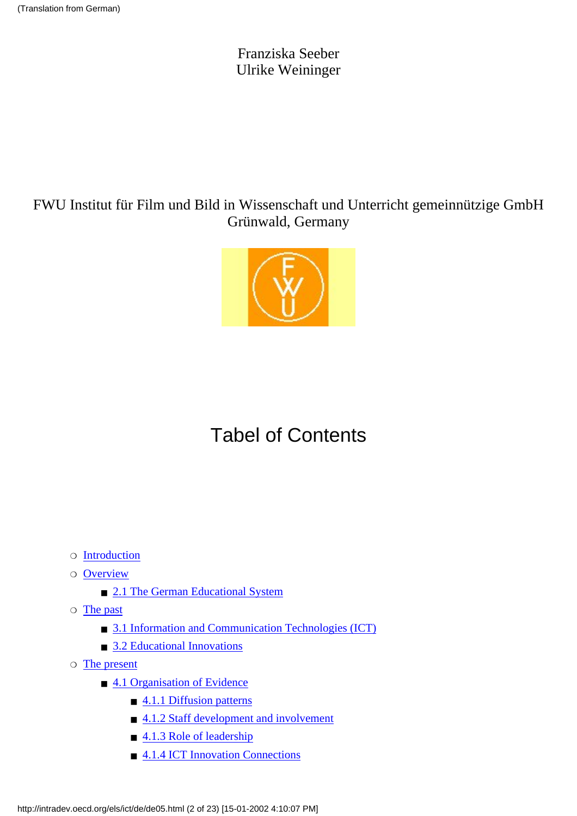Franziska Seeber Ulrike Weininger

### FWU Institut für Film und Bild in Wissenschaft und Unterricht gemeinnützige GmbH Grünwald, Germany



# Tabel of Contents

- ❍ [Introduction](#page-2-0)
- $\circ$  [Overview](#page-3-0)
	- [2.1 The German Educational System](#page-3-1)
- $\circ$  [The past](#page-4-0)
	- [3.1 Information and Communication Technologies \(ICT\)](#page-4-1)
	- [3.2 Educational Innovations](#page-5-0)
- $\circ$  [The present](#page-7-0)
	- [4.1 Organisation of Evidence](#page-7-1)
		- [4.1.1 Diffusion patterns](#page-7-2)
		- [4.1.2 Staff development and involvement](#page-8-0)
		- [4.1.3 Role of leadership](#page-9-0)
		- [4.1.4 ICT Innovation Connections](#page-9-1)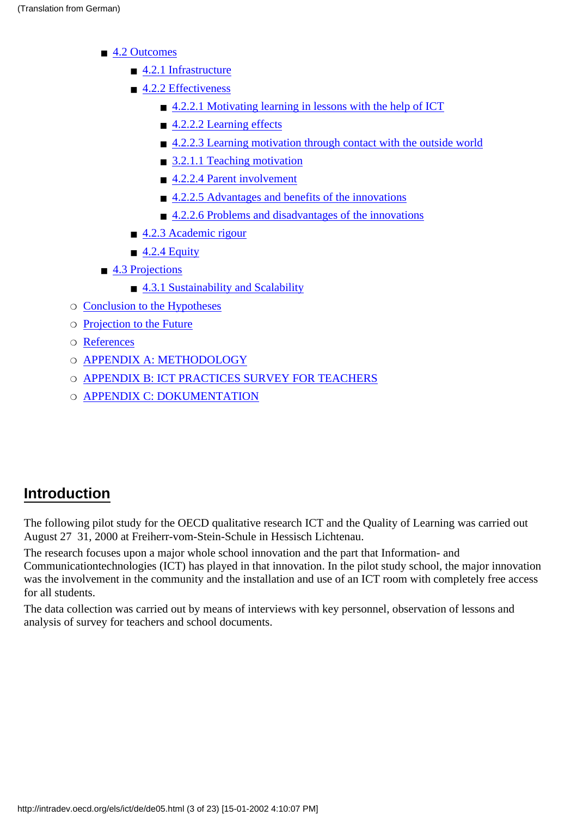- [4.2 Outcomes](#page-10-0)
	- [4.2.1 Infrastructure](#page-10-1)
	- [4.2.2 Effectiveness](#page-11-0)
		- [4.2.2.1 Motivating learning in lessons with the help of ICT](#page-11-1)
		- [4.2.2.2 Learning effects](#page-12-0)
		- [4.2.2.3 Learning motivation through contact with the outside world](#page-12-1)
		- [3.2.1.1 Teaching motivation](#page-12-2)
		- [4.2.2.4 Parent involvement](#page-12-3)
		- [4.2.2.5 Advantages and benefits of the innovations](#page-13-0)
		- [4.2.2.6 Problems and disadvantages of the innovations](#page-13-1)
	- [4.2.3 Academic rigour](#page-15-0)
	- $\blacksquare$  [4.2.4 Equity](#page-15-1)
- [4.3 Projections](#page-16-0)
	- [4.3.1 Sustainability and Scalability](#page-16-1)
- ❍ [Conclusion to the Hypotheses](#page-17-0)
- ❍ [Projection to the Future](#page-19-0)
- ❍ [References](#page-19-1)
- O [APPENDIX A: METHODOLOGY](#page-19-2)
- ❍ [APPENDIX B: ICT PRACTICES SURVEY FOR TEACHERS](#page-20-0)
- O [APPENDIX C: DOKUMENTATION](#page-22-0)

### <span id="page-2-0"></span>**Introduction**

The following pilot study for the OECD qualitative research ICT and the Quality of Learning was carried out August 27 31, 2000 at Freiherr-vom-Stein-Schule in Hessisch Lichtenau.

The research focuses upon a major whole school innovation and the part that Information- and Communicationtechnologies (ICT) has played in that innovation. In the pilot study school, the major innovation was the involvement in the community and the installation and use of an ICT room with completely free access for all students.

The data collection was carried out by means of interviews with key personnel, observation of lessons and analysis of survey for teachers and school documents.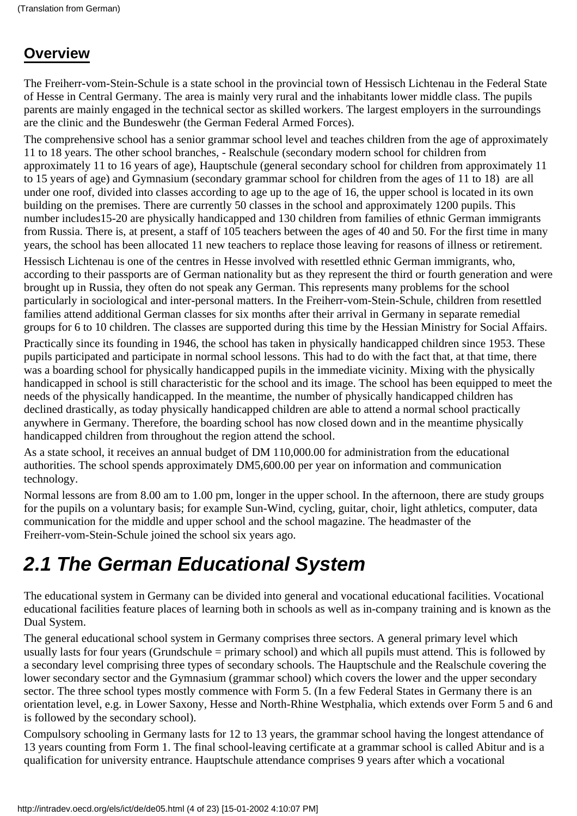### <span id="page-3-0"></span>**Overview**

The Freiherr-vom-Stein-Schule is a state school in the provincial town of Hessisch Lichtenau in the Federal State of Hesse in Central Germany. The area is mainly very rural and the inhabitants lower middle class. The pupils parents are mainly engaged in the technical sector as skilled workers. The largest employers in the surroundings are the clinic and the Bundeswehr (the German Federal Armed Forces).

The comprehensive school has a senior grammar school level and teaches children from the age of approximately 11 to 18 years. The other school branches, - Realschule (secondary modern school for children from approximately 11 to 16 years of age), Hauptschule (general secondary school for children from approximately 11 to 15 years of age) and Gymnasium (secondary grammar school for children from the ages of 11 to 18) are all under one roof, divided into classes according to age up to the age of 16, the upper school is located in its own building on the premises. There are currently 50 classes in the school and approximately 1200 pupils. This number includes15-20 are physically handicapped and 130 children from families of ethnic German immigrants from Russia. There is, at present, a staff of 105 teachers between the ages of 40 and 50. For the first time in many years, the school has been allocated 11 new teachers to replace those leaving for reasons of illness or retirement.

Hessisch Lichtenau is one of the centres in Hesse involved with resettled ethnic German immigrants, who, according to their passports are of German nationality but as they represent the third or fourth generation and were brought up in Russia, they often do not speak any German. This represents many problems for the school particularly in sociological and inter-personal matters. In the Freiherr-vom-Stein-Schule, children from resettled families attend additional German classes for six months after their arrival in Germany in separate remedial groups for 6 to 10 children. The classes are supported during this time by the Hessian Ministry for Social Affairs. Practically since its founding in 1946, the school has taken in physically handicapped children since 1953. These pupils participated and participate in normal school lessons. This had to do with the fact that, at that time, there was a boarding school for physically handicapped pupils in the immediate vicinity. Mixing with the physically handicapped in school is still characteristic for the school and its image. The school has been equipped to meet the needs of the physically handicapped. In the meantime, the number of physically handicapped children has declined drastically, as today physically handicapped children are able to attend a normal school practically anywhere in Germany. Therefore, the boarding school has now closed down and in the meantime physically handicapped children from throughout the region attend the school.

As a state school, it receives an annual budget of DM 110,000.00 for administration from the educational authorities. The school spends approximately DM5,600.00 per year on information and communication technology.

Normal lessons are from 8.00 am to 1.00 pm, longer in the upper school. In the afternoon, there are study groups for the pupils on a voluntary basis; for example Sun-Wind, cycling, guitar, choir, light athletics, computer, data communication for the middle and upper school and the school magazine. The headmaster of the Freiherr-vom-Stein-Schule joined the school six years ago.

## <span id="page-3-1"></span>*2.1 The German Educational System*

The educational system in Germany can be divided into general and vocational educational facilities. Vocational educational facilities feature places of learning both in schools as well as in-company training and is known as the Dual System.

The general educational school system in Germany comprises three sectors. A general primary level which usually lasts for four years (Grundschule = primary school) and which all pupils must attend. This is followed by a secondary level comprising three types of secondary schools. The Hauptschule and the Realschule covering the lower secondary sector and the Gymnasium (grammar school) which covers the lower and the upper secondary sector. The three school types mostly commence with Form 5. (In a few Federal States in Germany there is an orientation level, e.g. in Lower Saxony, Hesse and North-Rhine Westphalia, which extends over Form 5 and 6 and is followed by the secondary school).

Compulsory schooling in Germany lasts for 12 to 13 years, the grammar school having the longest attendance of 13 years counting from Form 1. The final school-leaving certificate at a grammar school is called Abitur and is a qualification for university entrance. Hauptschule attendance comprises 9 years after which a vocational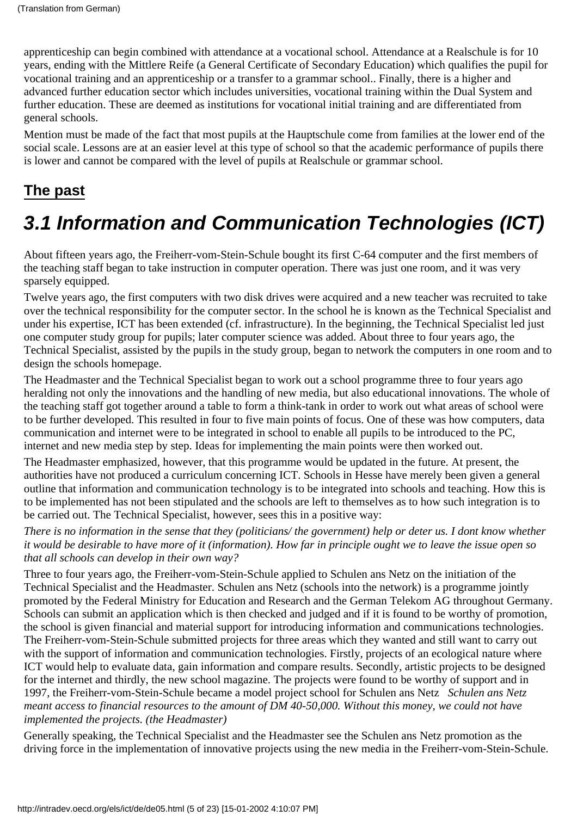apprenticeship can begin combined with attendance at a vocational school. Attendance at a Realschule is for 10 years, ending with the Mittlere Reife (a General Certificate of Secondary Education) which qualifies the pupil for vocational training and an apprenticeship or a transfer to a grammar school.. Finally, there is a higher and advanced further education sector which includes universities, vocational training within the Dual System and further education. These are deemed as institutions for vocational initial training and are differentiated from general schools.

Mention must be made of the fact that most pupils at the Hauptschule come from families at the lower end of the social scale. Lessons are at an easier level at this type of school so that the academic performance of pupils there is lower and cannot be compared with the level of pupils at Realschule or grammar school.

### <span id="page-4-0"></span>**The past**

# <span id="page-4-1"></span>*3.1 Information and Communication Technologies (ICT)*

About fifteen years ago, the Freiherr-vom-Stein-Schule bought its first C-64 computer and the first members of the teaching staff began to take instruction in computer operation. There was just one room, and it was very sparsely equipped.

Twelve years ago, the first computers with two disk drives were acquired and a new teacher was recruited to take over the technical responsibility for the computer sector. In the school he is known as the Technical Specialist and under his expertise, ICT has been extended (cf. infrastructure). In the beginning, the Technical Specialist led just one computer study group for pupils; later computer science was added. About three to four years ago, the Technical Specialist, assisted by the pupils in the study group, began to network the computers in one room and to design the school s homepage.

The Headmaster and the Technical Specialist began to work out a school programme three to four years ago heralding not only the innovations and the handling of new media, but also educational innovations. The whole of the teaching staff got together around a table to form a think-tank in order to work out what areas of school were to be further developed. This resulted in four to five main points of focus. One of these was how computers, data communication and internet were to be integrated in school to enable all pupils to be introduced to the PC, internet and new media step by step. Ideas for implementing the main points were then worked out.

The Headmaster emphasized, however, that this programme would be updated in the future. At present, the authorities have not produced a curriculum concerning ICT. Schools in Hesse have merely been given a general outline that information and communication technology is to be integrated into schools and teaching. How this is to be implemented has not been stipulated and the schools are left to themselves as to how such integration is to be carried out. The Technical Specialist, however, sees this in a positive way:

*There is no information in the sense that they (politicians/ the government) help or deter us. I dont know whether it would be desirable to have more of it (information). How far in principle ought we to leave the issue open so that all schools can develop in their own way?*

Three to four years ago, the Freiherr-vom-Stein-Schule applied to Schulen ans Netz on the initiation of the Technical Specialist and the Headmaster. Schulen ans Netz (schools into the network) is a programme jointly promoted by the Federal Ministry for Education and Research and the German Telekom AG throughout Germany. Schools can submit an application which is then checked and judged and if it is found to be worthy of promotion, the school is given financial and material support for introducing information and communications technologies. The Freiherr-vom-Stein-Schule submitted projects for three areas which they wanted and still want to carry out with the support of information and communication technologies. Firstly, projects of an ecological nature where ICT would help to evaluate data, gain information and compare results. Secondly, artistic projects to be designed for the internet and thirdly, the new school magazine. The projects were found to be worthy of support and in 1997, the Freiherr-vom-Stein-Schule became a model project school for Schulen ans Netz *Schulen ans Netz meant access to financial resources to the amount of DM 40-50,000. Without this money, we could not have implemented the projects. (the Headmaster)*

Generally speaking, the Technical Specialist and the Headmaster see the Schulen ans Netz promotion as the driving force in the implementation of innovative projects using the new media in the Freiherr-vom-Stein-Schule.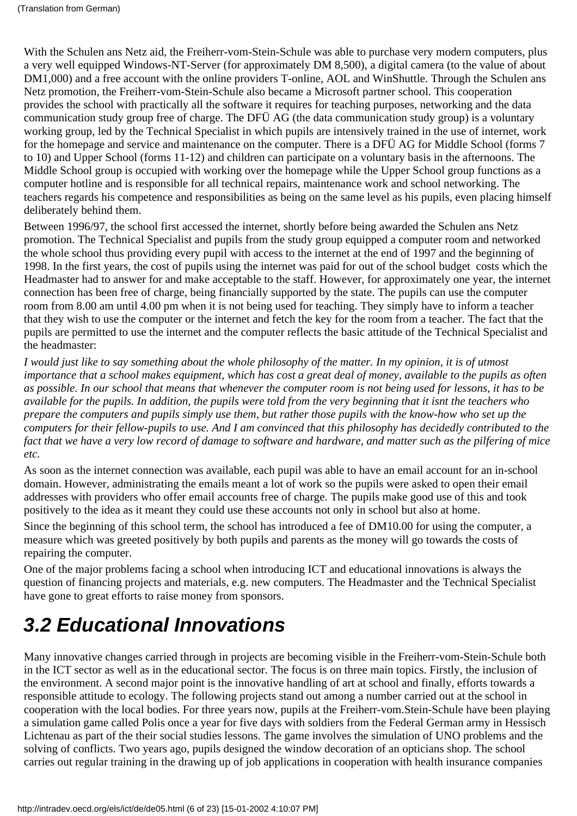With the Schulen ans Netz aid, the Freiherr-vom-Stein-Schule was able to purchase very modern computers, plus a very well equipped Windows-NT-Server (for approximately DM 8,500), a digital camera (to the value of about DM1,000) and a free account with the online providers T-online, AOL and WinShuttle. Through the Schulen ans Netz promotion, the Freiherr-vom-Stein-Schule also became a Microsoft partner school. This cooperation provides the school with practically all the software it requires for teaching purposes, networking and the data communication study group free of charge. The DFÜ AG (the data communication study group) is a voluntary working group, led by the Technical Specialist in which pupils are intensively trained in the use of internet, work for the homepage and service and maintenance on the computer. There is a DFÜ AG for Middle School (forms 7 to 10) and Upper School (forms 11-12) and children can participate on a voluntary basis in the afternoons. The Middle School group is occupied with working over the homepage while the Upper School group functions as a computer hotline and is responsible for all technical repairs, maintenance work and school networking. The teachers regards his competence and responsibilities as being on the same level as his pupils, even placing himself deliberately behind them.

Between 1996/97, the school first accessed the internet, shortly before being awarded the Schulen ans Netz promotion. The Technical Specialist and pupils from the study group equipped a computer room and networked the whole school thus providing every pupil with access to the internet at the end of 1997 and the beginning of 1998. In the first years, the cost of pupils using the internet was paid for out of the school budget costs which the Headmaster had to answer for and make acceptable to the staff. However, for approximately one year, the internet connection has been free of charge, being financially supported by the state. The pupils can use the computer room from 8.00 am until 4.00 pm when it is not being used for teaching. They simply have to inform a teacher that they wish to use the computer or the internet and fetch the key for the room from a teacher. The fact that the pupils are permitted to use the internet and the computer reflects the basic attitude of the Technical Specialist and the headmaster:

*I would just like to say something about the whole philosophy of the matter. In my opinion, it is of utmost importance that a school makes equipment, which has cost a great deal of money, available to the pupils as often as possible. In our school that means that whenever the computer room is not being used for lessons, it has to be available for the pupils. In addition, the pupils were told from the very beginning that it isnt the teachers who prepare the computers and pupils simply use them, but rather those pupils with the know-how who set up the computers for their fellow-pupils to use. And I am convinced that this philosophy has decidedly contributed to the fact that we have a very low record of damage to software and hardware, and matter such as the pilfering of mice etc.*

As soon as the internet connection was available, each pupil was able to have an email account for an in-school domain. However, administrating the emails meant a lot of work so the pupils were asked to open their email addresses with providers who offer email accounts free of charge. The pupils make good use of this and took positively to the idea as it meant they could use these accounts not only in school but also at home.

Since the beginning of this school term, the school has introduced a fee of DM10.00 for using the computer, a measure which was greeted positively by both pupils and parents as the money will go towards the costs of repairing the computer.

One of the major problems facing a school when introducing ICT and educational innovations is always the question of financing projects and materials, e.g. new computers. The Headmaster and the Technical Specialist have gone to great efforts to raise money from sponsors.

# <span id="page-5-0"></span>*3.2 Educational Innovations*

Many innovative changes carried through in projects are becoming visible in the Freiherr-vom-Stein-Schule both in the ICT sector as well as in the educational sector. The focus is on three main topics. Firstly, the inclusion of the environment. A second major point is the innovative handling of art at school and finally, efforts towards a responsible attitude to ecology. The following projects stand out among a number carried out at the school in cooperation with the local bodies. For three years now, pupils at the Freiherr-vom.Stein-Schule have been playing a simulation game called Polis once a year for five days with soldiers from the Federal German army in Hessisch Lichtenau as part of the their social studies lessons. The game involves the simulation of UNO problems and the solving of conflicts. Two years ago, pupils designed the window decoration of an optician s shop. The school carries out regular training in the drawing up of job applications in cooperation with health insurance companies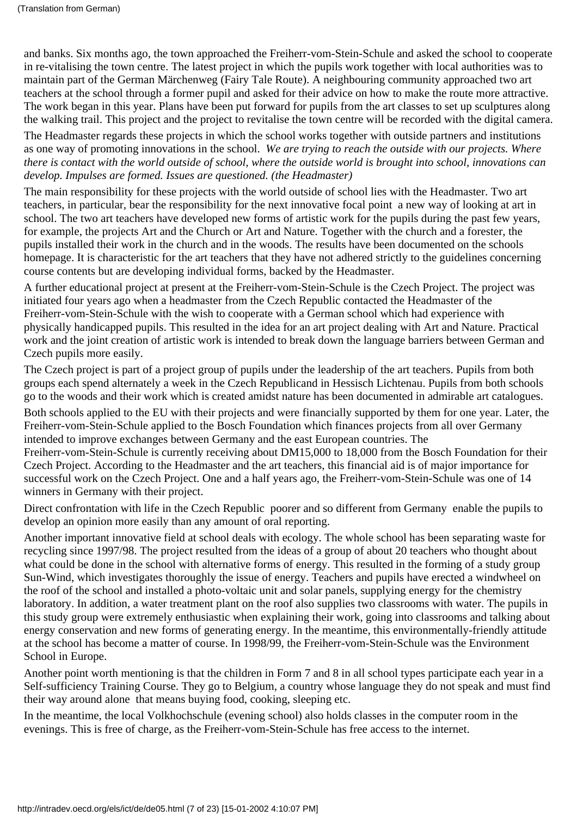and banks. Six months ago, the town approached the Freiherr-vom-Stein-Schule and asked the school to cooperate in re-vitalising the town centre. The latest project in which the pupils work together with local authorities was to maintain part of the German Märchenweg (Fairy Tale Route). A neighbouring community approached two art teachers at the school through a former pupil and asked for their advice on how to make the route more attractive. The work began in this year. Plans have been put forward for pupils from the art classes to set up sculptures along the walking trail. This project and the project to revitalise the town centre will be recorded with the digital camera.

The Headmaster regards these projects in which the school works together with outside partners and institutions as one way of promoting innovations in the school. *We are trying to reach the outside with our projects. Where there is contact with the world outside of school, where the outside world is brought into school, innovations can develop. Impulses are formed. Issues are questioned. (the Headmaster)*

The main responsibility for these projects with the world outside of school lies with the Headmaster. Two art teachers, in particular, bear the responsibility for the next innovative focal point a new way of looking at art in school. The two art teachers have developed new forms of artistic work for the pupils during the past few years, for example, the projects Art and the Church or Art and Nature. Together with the church and a forester, the pupils installed their work in the church and in the woods. The results have been documented on the schools homepage. It is characteristic for the art teachers that they have not adhered strictly to the guidelines concerning course contents but are developing individual forms, backed by the Headmaster.

A further educational project at present at the Freiherr-vom-Stein-Schule is the Czech Project. The project was initiated four years ago when a headmaster from the Czech Republic contacted the Headmaster of the Freiherr-vom-Stein-Schule with the wish to cooperate with a German school which had experience with physically handicapped pupils. This resulted in the idea for an art project dealing with Art and Nature. Practical work and the joint creation of artistic work is intended to break down the language barriers between German and Czech pupils more easily.

The Czech project is part of a project group of pupils under the leadership of the art teachers. Pupils from both groups each spend alternately a week in the Czech Republicand in Hessisch Lichtenau. Pupils from both schools go to the woods and their work which is created amidst nature has been documented in admirable art catalogues.

Both schools applied to the EU with their projects and were financially supported by them for one year. Later, the Freiherr-vom-Stein-Schule applied to the Bosch Foundation which finances projects from all over Germany intended to improve exchanges between Germany and the east European countries. The

Freiherr-vom-Stein-Schule is currently receiving about DM15,000 to 18,000 from the Bosch Foundation for their Czech Project. According to the Headmaster and the art teachers, this financial aid is of major importance for successful work on the Czech Project. One and a half years ago, the Freiherr-vom-Stein-Schule was one of 14 winners in Germany with their project.

Direct confrontation with life in the Czech Republic poorer and so different from Germany enable the pupils to develop an opinion more easily than any amount of oral reporting.

Another important innovative field at school deals with ecology. The whole school has been separating waste for recycling since 1997/98. The project resulted from the ideas of a group of about 20 teachers who thought about what could be done in the school with alternative forms of energy. This resulted in the forming of a study group Sun-Wind, which investigates thoroughly the issue of energy. Teachers and pupils have erected a windwheel on the roof of the school and installed a photo-voltaic unit and solar panels, supplying energy for the chemistry laboratory. In addition, a water treatment plant on the roof also supplies two classrooms with water. The pupils in this study group were extremely enthusiastic when explaining their work, going into classrooms and talking about energy conservation and new forms of generating energy. In the meantime, this environmentally-friendly attitude at the school has become a matter of course. In 1998/99, the Freiherr-vom-Stein-Schule was the Environment School in Europe.

Another point worth mentioning is that the children in Form 7 and 8 in all school types participate each year in a Self-sufficiency Training Course. They go to Belgium, a country whose language they do not speak and must find their way around alone that means buying food, cooking, sleeping etc.

In the meantime, the local Volkhochschule (evening school) also holds classes in the computer room in the evenings. This is free of charge, as the Freiherr-vom-Stein-Schule has free access to the internet.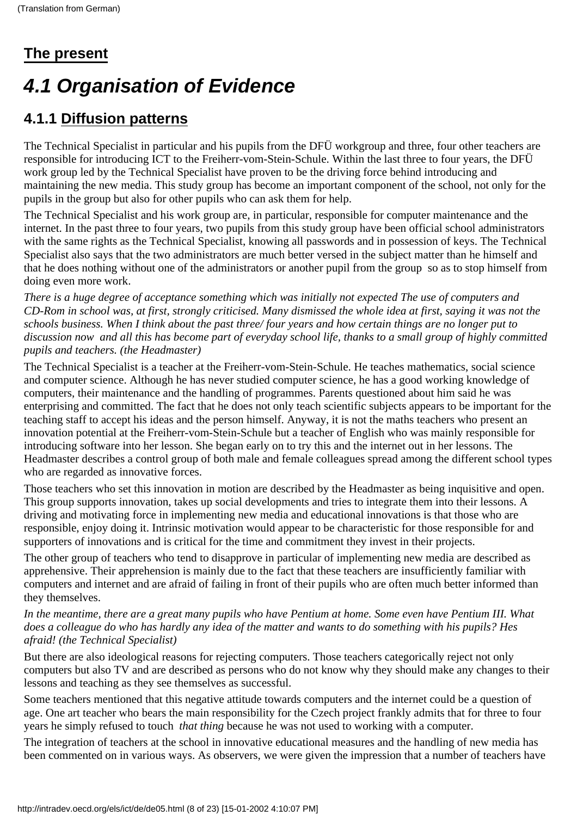## <span id="page-7-0"></span>**The present**

# <span id="page-7-1"></span>*4.1 Organisation of Evidence*

## <span id="page-7-2"></span>**4.1.1 Diffusion patterns**

The Technical Specialist in particular and his pupils from the DFÜ workgroup and three, four other teachers are responsible for introducing ICT to the Freiherr-vom-Stein-Schule. Within the last three to four years, the DFÜ work group led by the Technical Specialist have proven to be the driving force behind introducing and maintaining the new media. This study group has become an important component of the school, not only for the pupils in the group but also for other pupils who can ask them for help.

The Technical Specialist and his work group are, in particular, responsible for computer maintenance and the internet. In the past three to four years, two pupils from this study group have been official school administrators with the same rights as the Technical Specialist, knowing all passwords and in possession of keys. The Technical Specialist also says that the two administrators are much better versed in the subject matter than he himself and that he does nothing without one of the administrators or another pupil from the group so as to stop himself from doing even more work.

*There is a huge degree of acceptance something which was initially not expected The use of computers and CD-Rom in school was, at first, strongly criticised. Many dismissed the whole idea at first, saying it was not the schools business. When I think about the past three/ four years and how certain things are no longer put to discussion now and all this has become part of everyday school life, thanks to a small group of highly committed pupils and teachers. (the Headmaster)*

The Technical Specialist is a teacher at the Freiherr-vom-Stein-Schule. He teaches mathematics, social science and computer science. Although he has never studied computer science, he has a good working knowledge of computers, their maintenance and the handling of programmes. Parents questioned about him said he was enterprising and committed. The fact that he does not only teach scientific subjects appears to be important for the teaching staff to accept his ideas and the person himself. Anyway, it is not the maths teachers who present an innovation potential at the Freiherr-vom-Stein-Schule but a teacher of English who was mainly responsible for introducing software into her lesson. She began early on to try this and the internet out in her lessons. The Headmaster describes a control group of both male and female colleagues spread among the different school types who are regarded as innovative forces.

Those teachers who set this innovation in motion are described by the Headmaster as being inquisitive and open. This group supports innovation, takes up social developments and tries to integrate them into their lessons. A driving and motivating force in implementing new media and educational innovations is that those who are responsible, enjoy doing it. Intrinsic motivation would appear to be characteristic for those responsible for and supporters of innovations and is critical for the time and commitment they invest in their projects.

The other group of teachers who tend to disapprove in particular of implementing new media are described as apprehensive. Their apprehension is mainly due to the fact that these teachers are insufficiently familiar with computers and internet and are afraid of failing in front of their pupils who are often much better informed than they themselves.

*In the meantime, there are a great many pupils who have Pentium at home. Some even have Pentium III. What does a colleague do who has hardly any idea of the matter and wants to do something with his pupils? Hes afraid! (the Technical Specialist)*

But there are also ideological reasons for rejecting computers. Those teachers categorically reject not only computers but also TV and are described as persons who do not know why they should make any changes to their lessons and teaching as they see themselves as successful.

Some teachers mentioned that this negative attitude towards computers and the internet could be a question of age. One art teacher who bears the main responsibility for the Czech project frankly admits that for three to four years he simply refused to touch *that thing* because he was not used to working with a computer.

The integration of teachers at the school in innovative educational measures and the handling of new media has been commented on in various ways. As observers, we were given the impression that a number of teachers have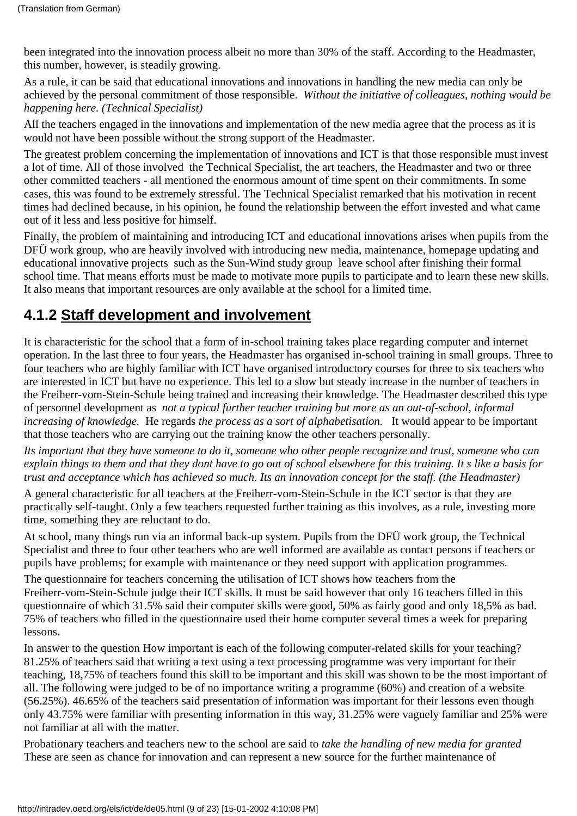been integrated into the innovation process albeit no more than 30% of the staff. According to the Headmaster, this number, however, is steadily growing.

As a rule, it can be said that educational innovations and innovations in handling the new media can only be achieved by the personal commitment of those responsible. *Without the initiative of colleagues, nothing would be happening here. (Technical Specialist)*

All the teachers engaged in the innovations and implementation of the new media agree that the process as it is would not have been possible without the strong support of the Headmaster.

The greatest problem concerning the implementation of innovations and ICT is that those responsible must invest a lot of time. All of those involved the Technical Specialist, the art teachers, the Headmaster and two or three other committed teachers - all mentioned the enormous amount of time spent on their commitments. In some cases, this was found to be extremely stressful. The Technical Specialist remarked that his motivation in recent times had declined because, in his opinion, he found the relationship between the effort invested and what came out of it less and less positive for himself.

Finally, the problem of maintaining and introducing ICT and educational innovations arises when pupils from the DFÜ work group, who are heavily involved with introducing new media, maintenance, homepage updating and educational innovative projects such as the Sun-Wind study group leave school after finishing their formal school time. That means efforts must be made to motivate more pupils to participate and to learn these new skills. It also means that important resources are only available at the school for a limited time.

### <span id="page-8-0"></span>**4.1.2 Staff development and involvement**

It is characteristic for the school that a form of in-school training takes place regarding computer and internet operation. In the last three to four years, the Headmaster has organised in-school training in small groups. Three to four teachers who are highly familiar with ICT have organised introductory courses for three to six teachers who are interested in ICT but have no experience. This led to a slow but steady increase in the number of teachers in the Freiherr-vom-Stein-Schule being trained and increasing their knowledge. The Headmaster described this type of personnel development as *not a typical further teacher training but more as an out-of-school, informal increasing of knowledge.* He regards *the process as a sort of alphabetisation.* It would appear to be important that those teachers who are carrying out the training know the other teachers personally.

*Its important that they have someone to do it, someone who other people recognize and trust, someone who can explain things to them and that they dont have to go out of school elsewhere for this training. It s like a basis for trust and acceptance which has achieved so much. Its an innovation concept for the staff. (the Headmaster)*

A general characteristic for all teachers at the Freiherr-vom-Stein-Schule in the ICT sector is that they are practically self-taught. Only a few teachers requested further training as this involves, as a rule, investing more time, something they are reluctant to do.

At school, many things run via an informal back-up system. Pupils from the DFÜ work group, the Technical Specialist and three to four other teachers who are well informed are available as contact persons if teachers or pupils have problems; for example with maintenance or they need support with application programmes.

The questionnaire for teachers concerning the utilisation of ICT shows how teachers from the Freiherr-vom-Stein-Schule judge their ICT skills. It must be said however that only 16 teachers filled in this questionnaire of which 31.5% said their computer skills were good, 50% as fairly good and only 18,5% as bad. 75% of teachers who filled in the questionnaire used their home computer several times a week for preparing lessons.

In answer to the question How important is each of the following computer-related skills for your teaching? 81.25% of teachers said that writing a text using a text processing programme was very important for their teaching, 18,75% of teachers found this skill to be important and this skill was shown to be the most important of all. The following were judged to be of no importance writing a programme (60%) and creation of a website (56.25%). 46.65% of the teachers said presentation of information was important for their lessons even though only 43.75% were familiar with presenting information in this way, 31.25% were vaguely familiar and 25% were not familiar at all with the matter.

Probationary teachers and teachers new to the school are said to *take the handling of new media for granted* These are seen as chance for innovation and can represent a new source for the further maintenance of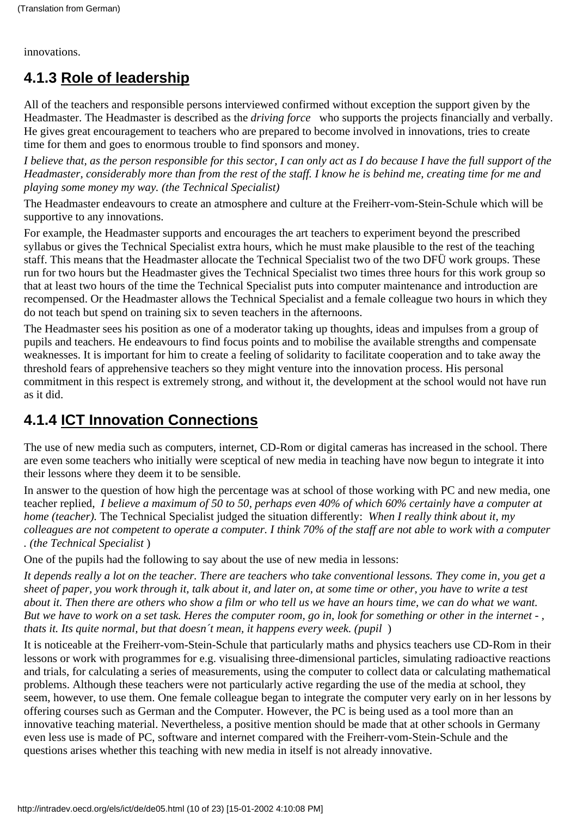innovations.

## <span id="page-9-0"></span>**4.1.3 Role of leadership**

All of the teachers and responsible persons interviewed confirmed without exception the support given by the Headmaster. The Headmaster is described as the *driving force* who supports the projects financially and verbally. He gives great encouragement to teachers who are prepared to become involved in innovations, tries to create time for them and goes to enormous trouble to find sponsors and money.

*I believe that, as the person responsible for this sector, I can only act as I do because I have the full support of the Headmaster, considerably more than from the rest of the staff. I know he is behind me, creating time for me and playing some money my way. (the Technical Specialist)*

The Headmaster endeavours to create an atmosphere and culture at the Freiherr-vom-Stein-Schule which will be supportive to any innovations.

For example, the Headmaster supports and encourages the art teachers to experiment beyond the prescribed syllabus or gives the Technical Specialist extra hours, which he must make plausible to the rest of the teaching staff. This means that the Headmaster allocate the Technical Specialist two of the two DFÜ work groups. These run for two hours but the Headmaster gives the Technical Specialist two times three hours for this work group so that at least two hours of the time the Technical Specialist puts into computer maintenance and introduction are recompensed. Or the Headmaster allows the Technical Specialist and a female colleague two hours in which they do not teach but spend on training six to seven teachers in the afternoons.

The Headmaster sees his position as one of a moderator taking up thoughts, ideas and impulses from a group of pupils and teachers. He endeavours to find focus points and to mobilise the available strengths and compensate weaknesses. It is important for him to create a feeling of solidarity to facilitate cooperation and to take away the threshold fears of apprehensive teachers so they might venture into the innovation process. His personal commitment in this respect is extremely strong, and without it, the development at the school would not have run as it did.

### <span id="page-9-1"></span>**4.1.4 ICT Innovation Connections**

The use of new media such as computers, internet, CD-Rom or digital cameras has increased in the school. There are even some teachers who initially were sceptical of new media in teaching have now begun to integrate it into their lessons where they deem it to be sensible.

In answer to the question of how high the percentage was at school of those working with PC and new media, one teacher replied, *I believe a maximum of 50 to 50, perhaps even 40% of which 60% certainly have a computer at home (teacher).*The Technical Specialist judged the situation differently: *When I really think about it, my colleagues are not competent to operate a computer. I think 70% of the staff are not able to work with a computer . (the Technical Specialist*)

One of the pupils had the following to say about the use of new media in lessons:

*It depends really a lot on the teacher. There are teachers who take conventional lessons. They come in, you get a sheet of paper, you work through it, talk about it, and later on, at some time or other, you have to write a test about it. Then there are others who show a film or who tell us we have an hours time, we can do what we want. But we have to work on a set task. Heres the computer room, go in, look for something or other in the internet - , that s it. It s quite normal, but that doesn't mean, it happens every week. (pupil)* 

It is noticeable at the Freiherr-vom-Stein-Schule that particularly maths and physics teachers use CD-Rom in their lessons or work with programmes for e.g. visualising three-dimensional particles, simulating radioactive reactions and trials, for calculating a series of measurements, using the computer to collect data or calculating mathematical problems. Although these teachers were not particularly active regarding the use of the media at school, they seem, however, to use them. One female colleague began to integrate the computer very early on in her lessons by offering courses such as German and the Computer. However, the PC is being used as a tool more than an innovative teaching material. Nevertheless, a positive mention should be made that at other schools in Germany even less use is made of PC, software and internet compared with the Freiherr-vom-Stein-Schule and the questions arises whether this teaching with new media in itself is not already innovative.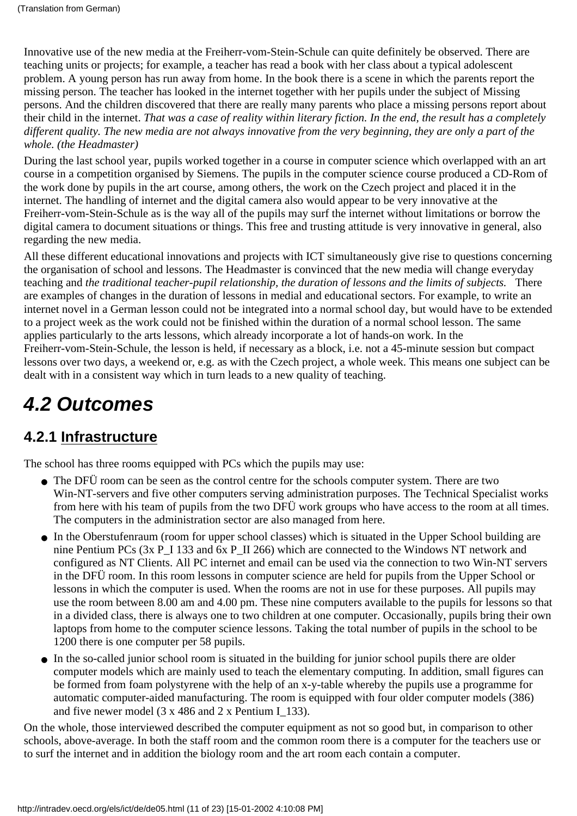Innovative use of the new media at the Freiherr-vom-Stein-Schule can quite definitely be observed. There are teaching units or projects; for example, a teacher has read a book with her class about a typical adolescent problem. A young person has run away from home. In the book there is a scene in which the parents report the missing person. The teacher has looked in the internet together with her pupils under the subject of Missing persons. And the children discovered that there are really many parents who place a missing persons report about their child in the internet. *That was a case of reality within literary fiction. In the end, the result has a completely different quality. The new media are not always innovative from the very beginning, they are only a part of the whole. (the Headmaster)*

During the last school year, pupils worked together in a course in computer science which overlapped with an art course in a competition organised by Siemens. The pupils in the computer science course produced a CD-Rom of the work done by pupils in the art course, among others, the work on the Czech project and placed it in the internet. The handling of internet and the digital camera also would appear to be very innovative at the Freiherr-vom-Stein-Schule as is the way all of the pupils may surf the internet without limitations or borrow the digital camera to document situations or things. This free and trusting attitude is very innovative in general, also regarding the new media.

All these different educational innovations and projects with ICT simultaneously give rise to questions concerning the organisation of school and lessons. The Headmaster is convinced that the new media will change everyday teaching and *the traditional teacher-pupil relationship, the duration of lessons and the limits of subjects.* There are examples of changes in the duration of lessons in medial and educational sectors. For example, to write an internet novel in a German lesson could not be integrated into a normal school day, but would have to be extended to a project week as the work could not be finished within the duration of a normal school lesson. The same applies particularly to the arts lessons, which already incorporate a lot of hands-on work. In the Freiherr-vom-Stein-Schule, the lesson is held, if necessary as a block, i.e. not a 45-minute session but compact lessons over two days, a weekend or, e.g. as with the Czech project, a whole week. This means one subject can be dealt with in a consistent way which in turn leads to a new quality of teaching.

# <span id="page-10-0"></span>*4.2 Outcomes*

### <span id="page-10-1"></span>**4.2.1 Infrastructure**

The school has three rooms equipped with PC s which the pupils may use:

- The DFÜ room can be seen as the control centre for the school s computer system. There are two Win-NT-servers and five other computers serving administration purposes. The Technical Specialist works from here with his team of pupils from the two DFÜ work groups who have access to the room at all times. The computers in the administration sector are also managed from here.
- In the Oberstufenraum (room for upper school classes) which is situated in the Upper School building are nine Pentium PCs (3x P\_I 133 and 6x P\_II 266) which are connected to the Windows NT network and configured as NT Clients. All PC internet and email can be used via the connection to two Win-NT servers in the DFÜ room. In this room lessons in computer science are held for pupils from the Upper School or lessons in which the computer is used. When the rooms are not in use for these purposes. All pupils may use the room between 8.00 am and 4.00 pm. These nine computers available to the pupils for lessons so that in a divided class, there is always one to two children at one computer. Occasionally, pupils bring their own laptops from home to the computer science lessons. Taking the total number of pupils in the school to be 1200 there is one computer per 58 pupils.
- In the so-called junior school room is situated in the building for junior school pupils there are older computer models which are mainly used to teach the elementary computing. In addition, small figures can be formed from foam polystyrene with the help of an x-y-table whereby the pupils use a programme for automatic computer-aided manufacturing. The room is equipped with four older computer models (386) and five newer model (3 x 486 and 2 x Pentium I\_133).

On the whole, those interviewed described the computer equipment as not so good but, in comparison to other schools, above-average. In both the staff room and the common room there is a computer for the teachers use or to surf the internet and in addition the biology room and the art room each contain a computer.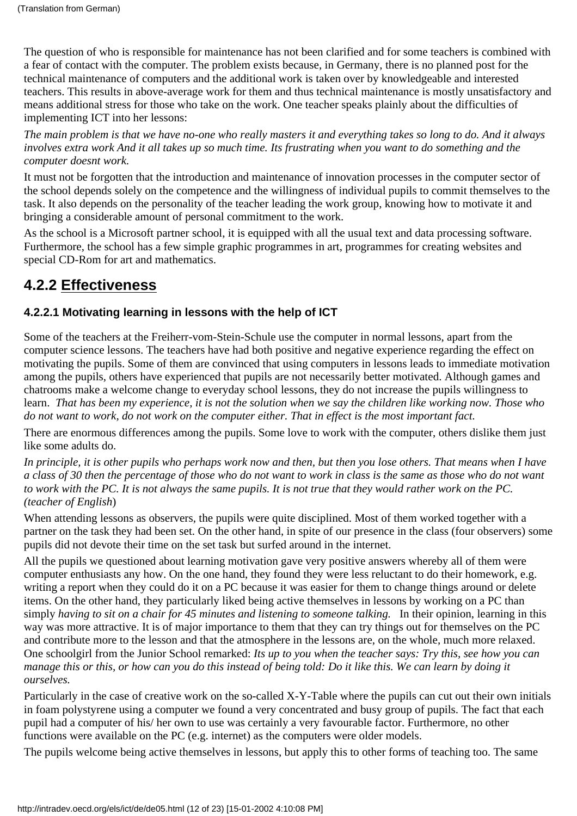The question of who is responsible for maintenance has not been clarified and for some teachers is combined with a fear of contact with the computer. The problem exists because, in Germany, there is no planned post for the technical maintenance of computers and the additional work is taken over by knowledgeable and interested teachers. This results in above-average work for them and thus technical maintenance is mostly unsatisfactory and means additional stress for those who take on the work. One teacher speaks plainly about the difficulties of implementing ICT into her lessons:

*The main problem is that we have no-one who really masters it and everything takes so long to do. And it always involves extra work And it all takes up so much time. Its frustrating when you want to do something and the computer doesnt work.*

It must not be forgotten that the introduction and maintenance of innovation processes in the computer sector of the school depends solely on the competence and the willingness of individual pupils to commit themselves to the task. It also depends on the personality of the teacher leading the work group, knowing how to motivate it and bringing a considerable amount of personal commitment to the work.

As the school is a Microsoft partner school, it is equipped with all the usual text and data processing software. Furthermore, the school has a few simple graphic programmes in art, programmes for creating websites and special CD-Rom for art and mathematics.

## <span id="page-11-0"></span>**4.2.2 Effectiveness**

#### <span id="page-11-1"></span>**4.2.2.1 Motivating learning in lessons with the help of ICT**

Some of the teachers at the Freiherr-vom-Stein-Schule use the computer in normal lessons, apart from the computer science lessons. The teachers have had both positive and negative experience regarding the effect on motivating the pupils. Some of them are convinced that using computers in lessons leads to immediate motivation among the pupils, others have experienced that pupils are not necessarily better motivated. Although games and chatrooms make a welcome change to everyday school lessons, they do not increase the pupils willingness to learn. *That has been my experience, it is not the solution when we say the children like working now. Those who do not want to work, do not work on the computer either. That in effect is the most important fact.*

There are enormous differences among the pupils. Some love to work with the computer, others dislike them just like some adults do.

*In principle, it is other pupils who perhaps work now and then, but then you lose others. That means when I have a class of 30 then the percentage of those who do not want to work in class is the same as those who do not want to work with the PC. It is not always the same pupils. It is not true that they would rather work on the PC. (teacher of English*)

When attending lessons as observers, the pupils were quite disciplined. Most of them worked together with a partner on the task they had been set. On the other hand, in spite of our presence in the class (four observers) some pupils did not devote their time on the set task but surfed around in the internet.

All the pupils we questioned about learning motivation gave very positive answers whereby all of them were computer enthusiasts any how. On the one hand, they found they were less reluctant to do their homework, e.g. writing a report when they could do it on a PC because it was easier for them to change things around or delete items. On the other hand, they particularly liked being active themselves in lessons by working on a PC than simply *having to sit on a chair for 45 minutes and listening to someone talking*. In their opinion, learning in this way was more attractive. It is of major importance to them that they can try things out for themselves on the PC and contribute more to the lesson and that the atmosphere in the lessons are, on the whole, much more relaxed. One schoolgirl from the Junior School remarked: *It s up to you when the teacher says: Try this, see how you can manage this or this, or how can you do this instead of being told: Do it like this. We can learn by doing it ourselves.*

Particularly in the case of creative work on the so-called X-Y-Table where the pupils can cut out their own initials in foam polystyrene using a computer we found a very concentrated and busy group of pupils. The fact that each pupil had a computer of his/ her own to use was certainly a very favourable factor. Furthermore, no other functions were available on the PC (e.g. internet) as the computers were older models.

The pupils welcome being active themselves in lessons, but apply this to other forms of teaching too. The same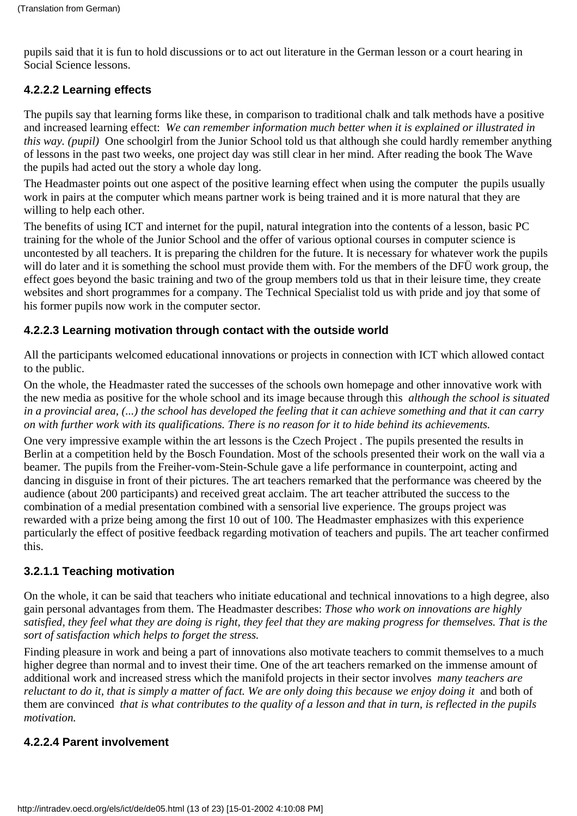pupils said that it is fun to hold discussions or to act out literature in the German lesson or a court hearing in Social Science lessons.

#### <span id="page-12-0"></span>**4.2.2.2 Learning effects**

The pupils say that learning forms like these, in comparison to traditional chalk and talk methods have a positive and increased learning effect: *We can remember information much better when it is explained or illustrated in this way. (pupil)* One schoolgirl from the Junior School told us that although she could hardly remember anything of lessons in the past two weeks, one project day was still clear in her mind. After reading the book The Wave the pupils had acted out the story a whole day long.

The Headmaster points out one aspect of the positive learning effect when using the computer the pupils usually work in pairs at the computer which means partner work is being trained and it is more natural that they are willing to help each other.

The benefits of using ICT and internet for the pupil, natural integration into the contents of a lesson, basic PC training for the whole of the Junior School and the offer of various optional courses in computer science is uncontested by all teachers. It is preparing the children for the future. It is necessary for whatever work the pupils will do later and it is something the school must provide them with. For the members of the DFÜ work group, the effect goes beyond the basic training and two of the group members told us that in their leisure time, they create websites and short programmes for a company. The Technical Specialist told us with pride and joy that some of his former pupils now work in the computer sector.

#### <span id="page-12-1"></span>**4.2.2.3 Learning motivation through contact with the outside world**

All the participants welcomed educational innovations or projects in connection with ICT which allowed contact to the public.

On the whole, the Headmaster rated the successes of the schools own homepage and other innovative work with the new media as positive for the whole school and its image because through this *although the school is situated in a provincial area, (...) the school has developed the feeling that it can achieve something and that it can carry on with further work with its qualifications. There is no reason for it to hide behind its achievements.*

One very impressive example within the art lessons is the Czech Project . The pupils presented the results in Berlin at a competition held by the Bosch Foundation. Most of the schools presented their work on the wall via a beamer*.* The pupils from the Freiher-vom-Stein-Schule gave a life performance in counterpoint, acting and dancing in disguise in front of their pictures. The art teachers remarked that the performance was cheered by the audience (about 200 participants) and received great acclaim. The art teacher attributed the success to the combination of a medial presentation combined with a sensorial live experience. The groups project was rewarded with a prize being among the first 10 out of 100. The Headmaster emphasizes with this experience particularly the effect of positive feedback regarding motivation of teachers and pupils. The art teacher confirmed this.

#### <span id="page-12-2"></span>**3.2.1.1 Teaching motivation**

On the whole, it can be said that teachers who initiate educational and technical innovations to a high degree, also gain personal advantages from them. The Headmaster describes: *Those who work on innovations are highly satisfied, they feel what they are doing is right, they feel that they are making progress for themselves. That is the sort of satisfaction which helps to forget the stress.*

Finding pleasure in work and being a part of innovations also motivate teachers to commit themselves to a much higher degree than normal and to invest their time. One of the art teachers remarked on the immense amount of additional work and increased stress which the manifold projects in their sector involves *many teachers are* reluctant to do it, that is simply a matter of fact. We are only doing this because we enjoy doing it and both of them are convinced *that is what contributes to the quality of a lesson and that in turn, is reflected in the pupils motivation.*

#### <span id="page-12-3"></span>**4.2.2.4 Parent involvement**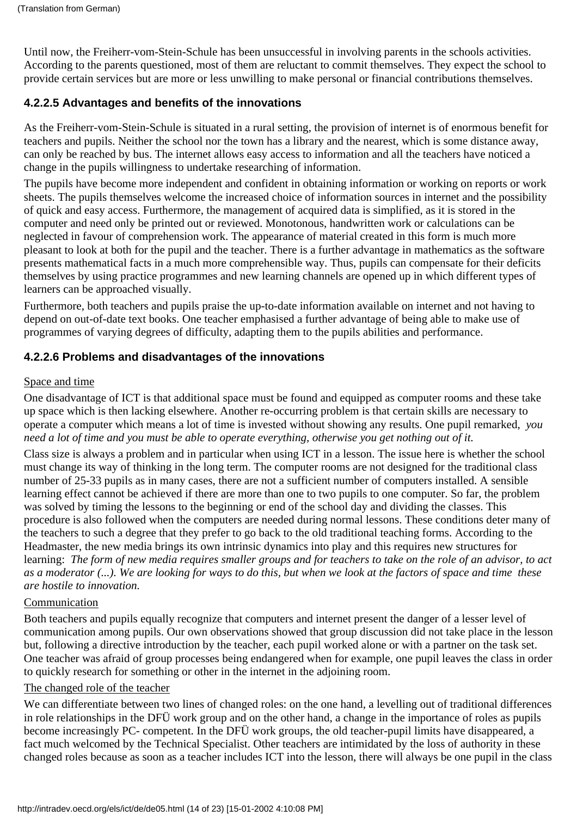Until now, the Freiherr-vom-Stein-Schule has been unsuccessful in involving parents in the school s activities. According to the parents questioned, most of them are reluctant to commit themselves. They expect the school to provide certain services but are more or less unwilling to make personal or financial contributions themselves.

#### <span id="page-13-0"></span>**4.2.2.5 Advantages and benefits of the innovations**

As the Freiherr-vom-Stein-Schule is situated in a rural setting, the provision of internet is of enormous benefit for teachers and pupils. Neither the school nor the town has a library and the nearest, which is some distance away, can only be reached by bus. The internet allows easy access to information and all the teachers have noticed a change in the pupils willingness to undertake researching of information.

The pupils have become more independent and confident in obtaining information or working on reports or work sheets. The pupils themselves welcome the increased choice of information sources in internet and the possibility of quick and easy access. Furthermore, the management of acquired data is simplified, as it is stored in the computer and need only be printed out or reviewed. Monotonous, handwritten work or calculations can be neglected in favour of comprehension work. The appearance of material created in this form is much more pleasant to look at both for the pupil and the teacher. There is a further advantage in mathematics as the software presents mathematical facts in a much more comprehensible way. Thus, pupils can compensate for their deficits themselves by using practice programmes and new learning channels are opened up in which different types of learners can be approached visually.

Furthermore, both teachers and pupils praise the up-to-date information available on internet and not having to depend on out-of-date text books. One teacher emphasised a further advantage of being able to make use of programmes of varying degrees of difficulty, adapting them to the pupils abilities and performance.

#### <span id="page-13-1"></span>**4.2.2.6 Problems and disadvantages of the innovations**

#### Space and time

One disadvantage of ICT is that additional space must be found and equipped as computer rooms and these take up space which is then lacking elsewhere. Another re-occurring problem is that certain skills are necessary to operate a computer which means a lot of time is invested without showing any results. One pupil remarked, *you need a lot of time and you must be able to operate everything, otherwise you get nothing out of it.*

Class size is always a problem and in particular when using ICT in a lesson. The issue here is whether the school must change its way of thinking in the long term. The computer rooms are not designed for the traditional class number of 25-33 pupils as in many cases, there are not a sufficient number of computers installed. A sensible learning effect cannot be achieved if there are more than one to two pupils to one computer. So far, the problem was solved by timing the lessons to the beginning or end of the school day and dividing the classes. This procedure is also followed when the computers are needed during normal lessons. These conditions deter many of the teachers to such a degree that they prefer to go back to the old traditional teaching forms. According to the Headmaster, the new media brings its own intrinsic dynamics into play and this requires new structures for learning: *The form of new media requires smaller groups and for teachers to take on the role of an advisor, to act as a moderator (...). We are looking for ways to do this, but when we look at the factors of space and time these are hostile to innovation.*

#### Communication

Both teachers and pupils equally recognize that computers and internet present the danger of a lesser level of communication among pupils. Our own observations showed that group discussion did not take place in the lesson but, following a directive introduction by the teacher, each pupil worked alone or with a partner on the task set. One teacher was afraid of group processes being endangered when for example, one pupil leaves the class in order to quickly research for something or other in the internet in the adjoining room.

#### The changed role of the teacher

We can differentiate between two lines of changed roles: on the one hand, a levelling out of traditional differences in role relationships in the DFÜ work group and on the other hand, a change in the importance of roles as pupils become increasingly PC- competent. In the DFÜ work groups, the old teacher-pupil limits have disappeared, a fact much welcomed by the Technical Specialist. Other teachers are intimidated by the loss of authority in these changed roles because as soon as a teacher includes ICT into the lesson, there will always be one pupil in the class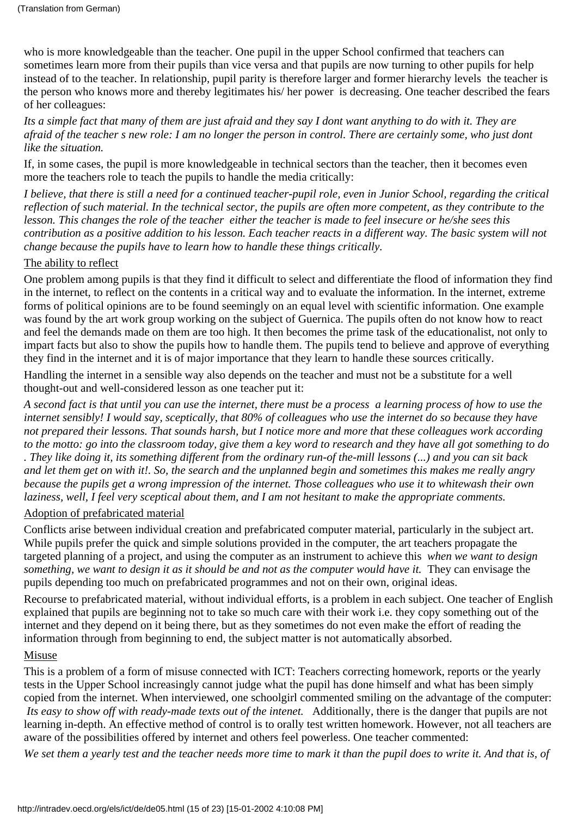who is more knowledgeable than the teacher. One pupil in the upper School confirmed that teachers can sometimes learn more from their pupils than vice versa and that pupils are now turning to other pupils for help instead of to the teacher. In relationship, pupil parity is therefore larger and former hierarchy levels the teacher is the person who knows more and thereby legitimates his/ her power is decreasing. One teacher described the fears of her colleagues:

*Its a simple fact that many of them are just afraid and they say I dont want anything to do with it. They are afraid of the teacher s new role: I am no longer the person in control. There are certainly some, who just dont like the situation.*

If, in some cases, the pupil is more knowledgeable in technical sectors than the teacher, then it becomes even more the teacher s role to teach the pupils to handle the media critically:

*I believe, that there is still a need for a continued teacher-pupil role, even in Junior School, regarding the critical reflection of such material. In the technical sector, the pupils are often more competent, as they contribute to the lesson. This changes the role of the teacher either the teacher is made to feel insecure or he/she sees this contribution as a positive addition to his lesson. Each teacher reacts in a different way. The basic system will not change because the pupils have to learn how to handle these things critically.*

#### The ability to reflect

One problem among pupils is that they find it difficult to select and differentiate the flood of information they find in the internet, to reflect on the contents in a critical way and to evaluate the information. In the internet, extreme forms of political opinions are to be found seemingly on an equal level with scientific information. One example was found by the art work group working on the subject of Guernica. The pupils often do not know how to react and feel the demands made on them are too high. It then becomes the prime task of the educationalist, not only to impart facts but also to show the pupils how to handle them. The pupils tend to believe and approve of everything they find in the internet and it is of major importance that they learn to handle these sources critically.

Handling the internet in a sensible way also depends on the teacher and must not be a substitute for a well thought-out and well-considered lesson as one teacher put it:

*A second fact is that until you can use the internet, there must be a process a learning process of how to use the internet sensibly! I would say, sceptically, that 80% of colleagues who use the internet do so because they have not prepared their lessons. That sounds harsh, but I notice more and more that these colleagues work according to the motto: go into the classroom today, give them a key word to research and they have all got something to do . They like doing it, its something different from the ordinary run-of the-mill lessons (...) and you can sit back and let them get on with it!. So, the search and the unplanned begin and sometimes this makes me really angry because the pupils get a wrong impression of the internet. Those colleagues who use it to whitewash their own laziness, well, I feel very sceptical about them, and I am not hesitant to make the appropriate comments.*

#### Adoption of prefabricated material

Conflicts arise between individual creation and prefabricated computer material, particularly in the subject art. While pupils prefer the quick and simple solutions provided in the computer, the art teachers propagate the targeted planning of a project, and using the computer as an instrument to achieve this *when we want to design something, we want to design it as it should be and not as the computer would have it.* They can envisage the pupils depending too much on prefabricated programmes and not on their own, original ideas.

Recourse to prefabricated material, without individual efforts, is a problem in each subject. One teacher of English explained that pupils are beginning not to take so much care with their work i.e. they copy something out of the internet and they depend on it being there, but as they sometimes do not even make the effort of reading the information through from beginning to end, the subject matter is not automatically absorbed.

#### Misuse

This is a problem of a form of misuse connected with ICT: Teachers correcting homework, reports or the yearly tests in the Upper School increasingly cannot judge what the pupil has done himself and what has been simply copied from the internet. When interviewed, one schoolgirl commented smiling on the advantage of the computer: It s easy to show off with ready-made texts out of the intenet. Additionally, there is the danger that pupils are not learning in-depth. An effective method of control is to orally test written homework. However, not all teachers are aware of the possibilities offered by internet and others feel powerless. One teacher commented:

*We set them a yearly test and the teacher needs more time to mark it than the pupil does to write it. And that is, of*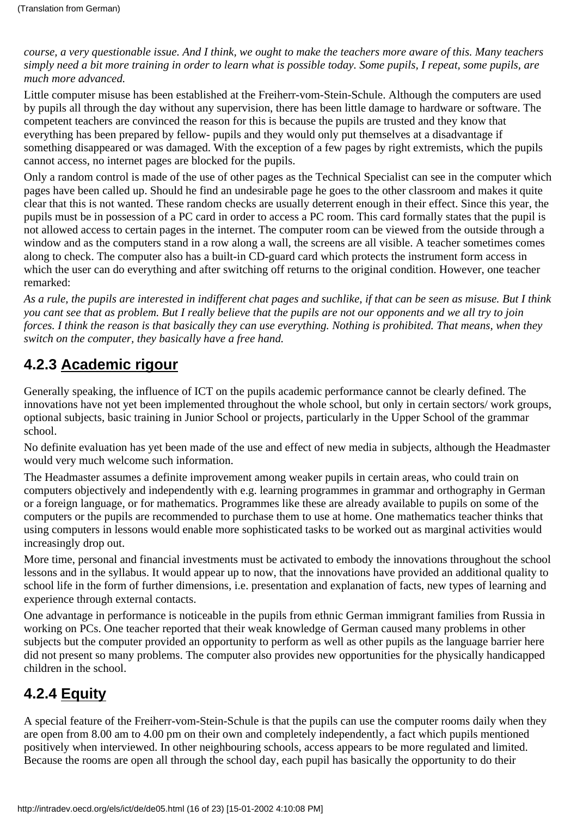*course, a very questionable issue. And I think, we ought to make the teachers more aware of this. Many teachers simply need a bit more training in order to learn what is possible today. Some pupils, I repeat, some pupils, are much more advanced.*

Little computer misuse has been established at the Freiherr-vom-Stein-Schule. Although the computers are used by pupils all through the day without any supervision, there has been little damage to hardware or software. The competent teachers are convinced the reason for this is because the pupils are trusted and they know that everything has been prepared by fellow- pupils and they would only put themselves at a disadvantage if something disappeared or was damaged. With the exception of a few pages by right extremists, which the pupils cannot access, no internet pages are blocked for the pupils.

Only a random control is made of the use of other pages as the Technical Specialist can see in the computer which pages have been called up. Should he find an undesirable page he goes to the other classroom and makes it quite clear that this is not wanted. These random checks are usually deterrent enough in their effect. Since this year, the pupils must be in possession of a PC card in order to access a PC room. This card formally states that the pupil is not allowed access to certain pages in the internet. The computer room can be viewed from the outside through a window and as the computers stand in a row along a wall, the screens are all visible. A teacher sometimes comes along to check. The computer also has a built-in CD-guard card which protects the instrument form access in which the user can do everything and after switching off returns to the original condition. However, one teacher remarked:

*As a rule, the pupils are interested in indifferent chat pages and suchlike, if that can be seen as misuse. But I think you cant see that as problem. But I really believe that the pupils are not our opponents and we all try to join forces. I think the reason is that basically they can use everything. Nothing is prohibited. That means, when they switch on the computer, they basically have a free hand.*

### <span id="page-15-0"></span>**4.2.3 Academic rigour**

Generally speaking, the influence of ICT on the pupils academic performance cannot be clearly defined. The innovations have not yet been implemented throughout the whole school, but only in certain sectors/ work groups, optional subjects, basic training in Junior School or projects, particularly in the Upper School of the grammar school.

No definite evaluation has yet been made of the use and effect of new media in subjects, although the Headmaster would very much welcome such information.

The Headmaster assumes a definite improvement among weaker pupils in certain areas, who could train on computers objectively and independently with e.g. learning programmes in grammar and orthography in German or a foreign language, or for mathematics. Programmes like these are already available to pupils on some of the computers or the pupils are recommended to purchase them to use at home. One mathematics teacher thinks that using computers in lessons would enable more sophisticated tasks to be worked out as marginal activities would increasingly drop out.

More time, personal and financial investments must be activated to embody the innovations throughout the school lessons and in the syllabus. It would appear up to now, that the innovations have provided an additional quality to school life in the form of further dimensions, i.e. presentation and explanation of facts, new types of learning and experience through external contacts.

One advantage in performance is noticeable in the pupils from ethnic German immigrant families from Russia in working on PCs. One teacher reported that their weak knowledge of German caused many problems in other subjects but the computer provided an opportunity to perform as well as other pupils as the language barrier here did not present so many problems. The computer also provides new opportunities for the physically handicapped children in the school.

## <span id="page-15-1"></span>**4.2.4 Equity**

A special feature of the Freiherr-vom-Stein-Schule is that the pupils can use the computer rooms daily when they are open from 8.00 am to 4.00 pm on their own and completely independently, a fact which pupils mentioned positively when interviewed. In other neighbouring schools, access appears to be more regulated and limited. Because the rooms are open all through the school day, each pupil has basically the opportunity to do their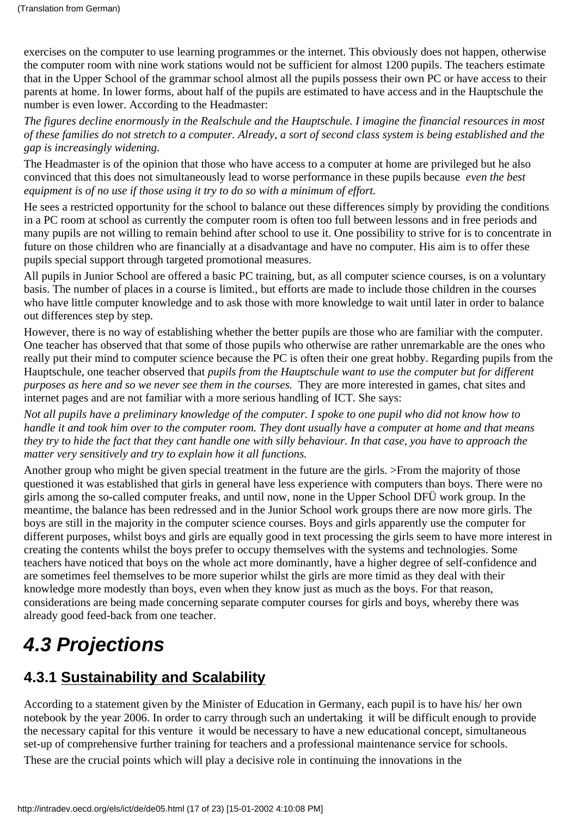exercises on the computer to use learning programmes or the internet. This obviously does not happen, otherwise the computer room with nine work stations would not be sufficient for almost 1200 pupils. The teachers estimate that in the Upper School of the grammar school almost all the pupils possess their own PC or have access to their parent s at home. In lower forms, about half of the pupils are estimated to have access and in the Hauptschule the number is even lower. According to the Headmaster:

*The figures decline enormously in the Realschule and the Hauptschule. I imagine the financial resources in most of these families do not stretch to a computer. Already, a sort of second class system is being established and the gap is increasingly widening.*

The Headmaster is of the opinion that those who have access to a computer at home are privileged but he also convinced that this does not simultaneously lead to worse performance in these pupils because *even the best equipment is of no use if those using it try to do so with a minimum of effort.*

He sees a restricted opportunity for the school to balance out these differences simply by providing the conditions in a PC room at school as currently the computer room is often too full between lessons and in free periods and many pupils are not willing to remain behind after school to use it. One possibility to strive for is to concentrate in future on those children who are financially at a disadvantage and have no computer. His aim is to offer these pupils special support through targeted promotional measures.

All pupils in Junior School are offered a basic PC training, but, as all computer science courses, is on a voluntary basis. The number of places in a course is limited., but efforts are made to include those children in the courses who have little computer knowledge and to ask those with more knowledge to wait until later in order to balance out differences step by step.

However, there is no way of establishing whether the better pupils are those who are familiar with the computer. One teacher has observed that that some of those pupils who otherwise are rather unremarkable are the ones who really put their mind to computer science because the PC is often their one great hobby. Regarding pupils from the Hauptschule, one teacher observed that *pupils from the Hauptschule want to use the computer but for different purposes as here and so we never see them in the courses.* They are more interested in games, chat sites and internet pages and are not familiar with a more serious handling of ICT. She says:

*Not all pupils have a preliminary knowledge of the computer. I spoke to one pupil who did not know how to handle it and took him over to the computer room. They dont usually have a computer at home and that means they try to hide the fact that they cant handle one with silly behaviour. In that case, you have to approach the matter very sensitively and try to explain how it all functions.*

Another group who might be given special treatment in the future are the girls. >From the majority of those questioned it was established that girls in general have less experience with computers than boys. There were no girls among the so-called computer freaks, and until now, none in the Upper School DFÜ work group. In the meantime, the balance has been redressed and in the Junior School work groups there are now more girls. The boys are still in the majority in the computer science courses. Boys and girls apparently use the computer for different purposes, whilst boys and girls are equally good in text processing the girls seem to have more interest in creating the contents whilst the boys prefer to occupy themselves with the systems and technologies. Some teachers have noticed that boys on the whole act more dominantly, have a higher degree of self-confidence and are sometimes feel themselves to be more superior whilst the girls are more timid as they deal with their knowledge more modestly than boys, even when they know just as much as the boys. For that reason, considerations are being made concerning separate computer courses for girls and boys, whereby there was already good feed-back from one teacher.

# <span id="page-16-0"></span>*4.3 Projections*

## <span id="page-16-1"></span>**4.3.1 Sustainability and Scalability**

According to a statement given by the Minister of Education in Germany, each pupil is to have his/ her own notebook by the year 2006. In order to carry through such an undertaking it will be difficult enough to provide the necessary capital for this venture it would be necessary to have a new educational concept, simultaneous set-up of comprehensive further training for teachers and a professional maintenance service for schools.

These are the crucial points which will play a decisive role in continuing the innovations in the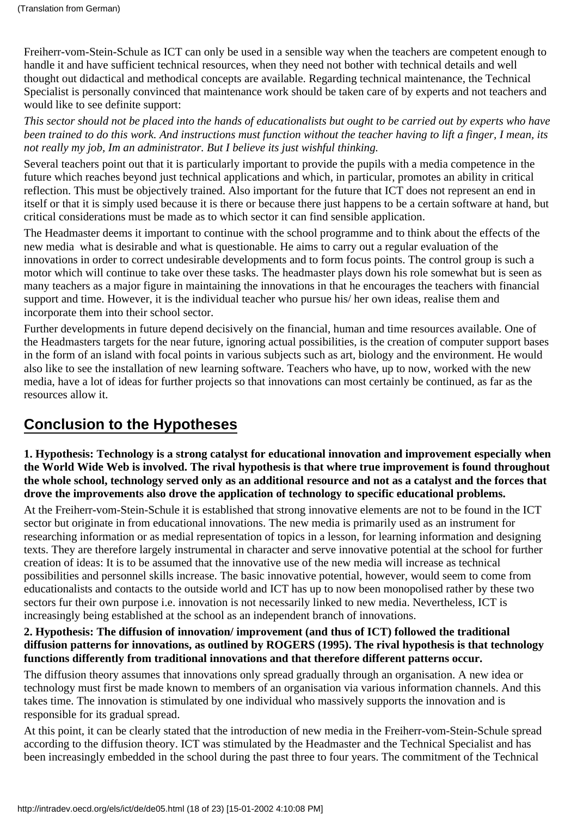Freiherr-vom-Stein-Schule as ICT can only be used in a sensible way when the teachers are competent enough to handle it and have sufficient technical resources, when they need not bother with technical details and well thought out didactical and methodical concepts are available. Regarding technical maintenance, the Technical Specialist is personally convinced that maintenance work should be taken care of by experts and not teachers and would like to see definite support:

*This sector should not be placed into the hands of educationalists but ought to be carried out by experts who have been trained to do this work. And instructions must function without the teacher having to lift a finger, I mean, its not really my job, Im an administrator. But I believe its just wishful thinking.*

Several teachers point out that it is particularly important to provide the pupils with a media competence in the future which reaches beyond just technical applications and which, in particular, promotes an ability in critical reflection. This must be objectively trained. Also important for the future that ICT does not represent an end in itself or that it is simply used because it is there or because there just happens to be a certain software at hand, but critical considerations must be made as to which sector it can find sensible application.

The Headmaster deems it important to continue with the school programme and to think about the effects of the new media what is desirable and what is questionable. He aims to carry out a regular evaluation of the innovations in order to correct undesirable developments and to form focus points. The control group is such a motor which will continue to take over these tasks. The headmaster plays down his role somewhat but is seen as many teachers as a major figure in maintaining the innovations in that he encourages the teachers with financial support and time. However, it is the individual teacher who pursue his/ her own ideas, realise them and incorporate them into their school sector.

Further developments in future depend decisively on the financial, human and time resources available. One of the Headmaster s targets for the near future, ignoring actual possibilities, is the creation of computer support bases in the form of an island with focal points in various subjects such as art, biology and the environment. He would also like to see the installation of new learning software. Teachers who have, up to now, worked with the new media, have a lot of ideas for further projects so that innovations can most certainly be continued, as far as the resources allow it.

### <span id="page-17-0"></span>**Conclusion to the Hypotheses**

**1. Hypothesis: Technology is a strong catalyst for educational innovation and improvement especially when the World Wide Web is involved. The rival hypothesis is that where true improvement is found throughout the whole school, technology served only as an additional resource and not as a catalyst and the forces that drove the improvements also drove the application of technology to specific educational problems.**

At the Freiherr-vom-Stein-Schule it is established that strong innovative elements are not to be found in the ICT sector but originate in from educational innovations. The new media is primarily used as an instrument for researching information or as medial representation of topics in a lesson, for learning information and designing texts. They are therefore largely instrumental in character and serve innovative potential at the school for further creation of ideas: It is to be assumed that the innovative use of the new media will increase as technical possibilities and personnel skills increase. The basic innovative potential, however, would seem to come from educationalists and contacts to the outside world and ICT has up to now been monopolised rather by these two sectors fur their own purpose i.e. innovation is not necessarily linked to new media. Nevertheless, ICT is increasingly being established at the school as an independent branch of innovations.

#### **2. Hypothesis: The diffusion of innovation/ improvement (and thus of ICT) followed the traditional diffusion patterns for innovations, as outlined by ROGERS (1995). The rival hypothesis is that technology functions differently from traditional innovations and that therefore different patterns occur.**

The diffusion theory assumes that innovations only spread gradually through an organisation. A new idea or technology must first be made known to members of an organisation via various information channels. And this takes time. The innovation is stimulated by one individual who massively supports the innovation and is responsible for its gradual spread.

At this point, it can be clearly stated that the introduction of new media in the Freiherr-vom-Stein-Schule spread according to the diffusion theory. ICT was stimulated by the Headmaster and the Technical Specialist and has been increasingly embedded in the school during the past three to four years. The commitment of the Technical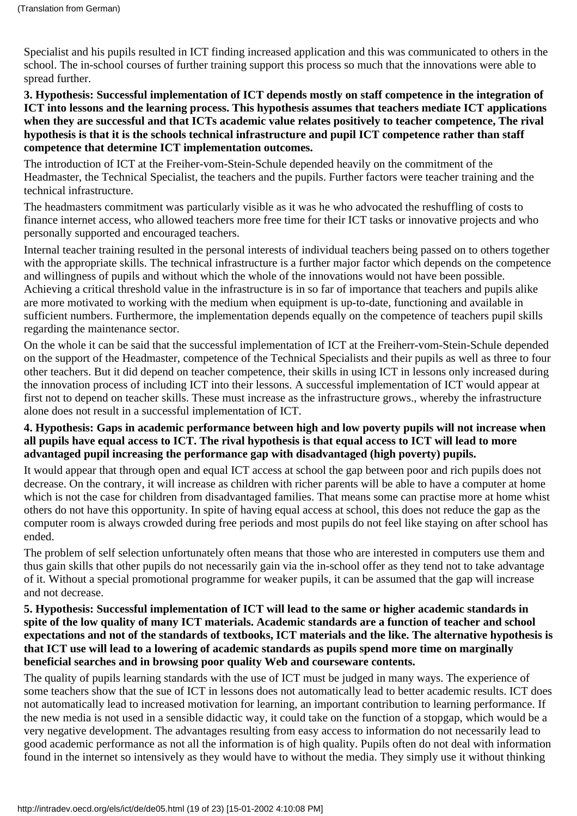Specialist and his pupils resulted in ICT finding increased application and this was communicated to others in the school. The in-school courses of further training support this process so much that the innovations were able to spread further.

**3. Hypothesis: Successful implementation of ICT depends mostly on staff competence in the integration of ICT into lessons and the learning process. This hypothesis assumes that teachers mediate ICT applications** when they are successful and that ICT s academic value relates positively to teacher competence, The rival **hypothesis is that it is the schools technical infrastructure and pupil ICT competence rather than staff competence that determine ICT implementation outcomes.**

The introduction of ICT at the Freiher-vom-Stein-Schule depended heavily on the commitment of the Headmaster, the Technical Specialist, the teachers and the pupils. Further factors were teacher training and the technical infrastructure.

The headmaster s commitment was particularly visible as it was he who advocated the reshuffling of costs to finance internet access, who allowed teachers more free time for their ICT tasks or innovative projects and who personally supported and encouraged teachers.

Internal teacher training resulted in the personal interests of individual teachers being passed on to others together with the appropriate skills. The technical infrastructure is a further major factor which depends on the competence and willingness of pupils and without which the whole of the innovations would not have been possible. Achieving a critical threshold value in the infrastructure is in so far of importance that teachers and pupils alike are more motivated to working with the medium when equipment is up-to-date, functioning and available in sufficient numbers. Furthermore, the implementation depends equally on the competence of teachers pupil skills regarding the maintenance sector.

On the whole it can be said that the successful implementation of ICT at the Freiherr-vom-Stein-Schule depended on the support of the Headmaster, competence of the Technical Specialists and their pupils as well as three to four other teachers. But it did depend on teacher competence, their skills in using ICT in lessons only increased during the innovation process of including ICT into their lessons. A successful implementation of ICT would appear at first not to depend on teacher skills. These must increase as the infrastructure grows., whereby the infrastructure alone does not result in a successful implementation of ICT.

#### **4. Hypothesis: Gaps in academic performance between high and low poverty pupils will not increase when all pupils have equal access to ICT. The rival hypothesis is that equal access to ICT will lead to more advantaged pupil increasing the performance gap with disadvantaged (high poverty) pupils.**

It would appear that through open and equal ICT access at school the gap between poor and rich pupils does not decrease. On the contrary, it will increase as children with richer parents will be able to have a computer at home which is not the case for children from disadvantaged families. That means some can practise more at home whist others do not have this opportunity. In spite of having equal access at school, this does not reduce the gap as the computer room is always crowded during free periods and most pupils do not feel like staying on after school has ended.

The problem of self selection unfortunately often means that those who are interested in computers use them and thus gain skills that other pupils do not necessarily gain via the in-school offer as they tend not to take advantage of it. Without a special promotional programme for weaker pupils, it can be assumed that the gap will increase and not decrease.

#### **5. Hypothesis: Successful implementation of ICT will lead to the same or higher academic standards in spite of the low quality of many ICT materials. Academic standards are a function of teacher and school expectations and not of the standards of textbooks, ICT materials and the like. The alternative hypothesis is that ICT use will lead to a lowering of academic standards as pupils spend more time on marginally beneficial searches and in browsing poor quality Web and courseware contents.**

The quality of pupils learning standards with the use of ICT must be judged in many ways. The experience of some teachers show that the sue of ICT in lessons does not automatically lead to better academic results. ICT does not automatically lead to increased motivation for learning, an important contribution to learning performance. If the new media is not used in a sensible didactic way, it could take on the function of a stopgap, which would be a very negative development. The advantages resulting from easy access to information do not necessarily lead to good academic performance as not all the information is of high quality. Pupils often do not deal with information found in the internet so intensively as they would have to without the media. They simply use it without thinking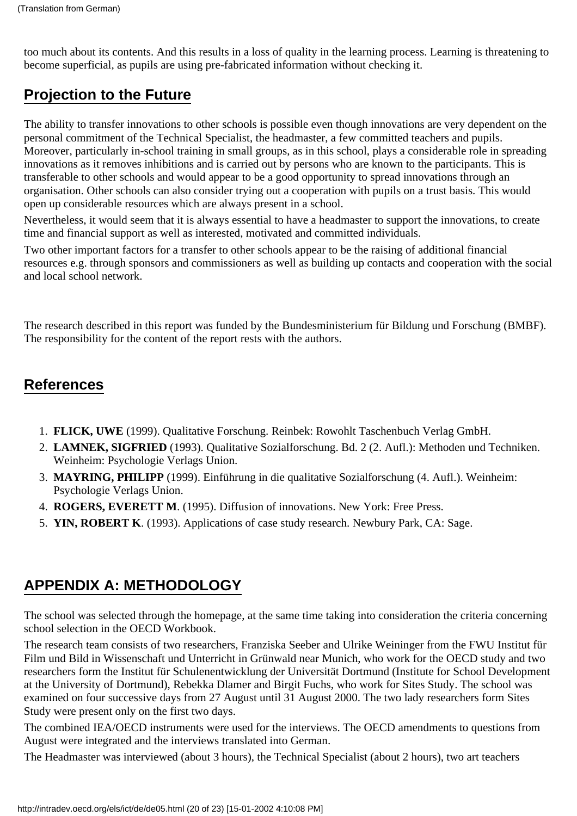too much about its contents. And this results in a loss of quality in the learning process. Learning is threatening to become superficial, as pupils are using pre-fabricated information without checking it.

## <span id="page-19-0"></span>**Projection to the Future**

The ability to transfer innovations to other schools is possible even though innovations are very dependent on the personal commitment of the Technical Specialist, the headmaster, a few committed teachers and pupils. Moreover, particularly in-school training in small groups, as in this school, plays a considerable role in spreading innovations as it removes inhibitions and is carried out by persons who are known to the participants. This is transferable to other schools and would appear to be a good opportunity to spread innovations through an organisation. Other schools can also consider trying out a cooperation with pupils on a trust basis. This would open up considerable resources which are always present in a school.

Nevertheless, it would seem that it is always essential to have a headmaster to support the innovations, to create time and financial support as well as interested, motivated and committed individuals.

Two other important factors for a transfer to other schools appear to be the raising of additional financial resources e.g. through sponsors and commissioners as well as building up contacts and cooperation with the social and local school network.

The research described in this report was funded by the Bundesministerium für Bildung und Forschung (BMBF). The responsibility for the content of the report rests with the authors.

### <span id="page-19-1"></span>**References**

- 1. **FLICK, UWE** (1999). Qualitative Forschung. Reinbek: Rowohlt Taschenbuch Verlag GmbH.
- **LAMNEK, SIGFRIED** (1993). Qualitative Sozialforschung. Bd. 2 (2. Aufl.): Methoden und Techniken. 2. Weinheim: Psychologie Verlags Union.
- **MAYRING, PHILIPP** (1999). Einführung in die qualitative Sozialforschung (4. Aufl.). Weinheim: 3. Psychologie Verlags Union.
- 4. **ROGERS, EVERETT M**. (1995). Diffusion of innovations. New York: Free Press.
- 5. **YIN, ROBERT K**. (1993). Applications of case study research. Newbury Park, CA: Sage.

## <span id="page-19-2"></span>**APPENDIX A: METHODOLOGY**

The school was selected through the homepage, at the same time taking into consideration the criteria concerning school selection in the OECD Workbook.

The research team consists of two researchers, Franziska Seeber and Ulrike Weininger from the FWU Institut für Film und Bild in Wissenschaft und Unterricht in Grünwald near Munich, who work for the OECD study and two researchers form the Institut für Schulenentwicklung der Universität Dortmund (Institute for School Development at the University of Dortmund), Rebekka Dlamer and Birgit Fuchs, who work for Sites Study. The school was examined on four successive days from 27 August until 31 August 2000. The two lady researchers form Sites Study were present only on the first two days.

The combined IEA/OECD instruments were used for the interviews. The OECD amendments to questions from August were integrated and the interviews translated into German.

The Headmaster was interviewed (about 3 hours), the Technical Specialist (about 2 hours), two art teachers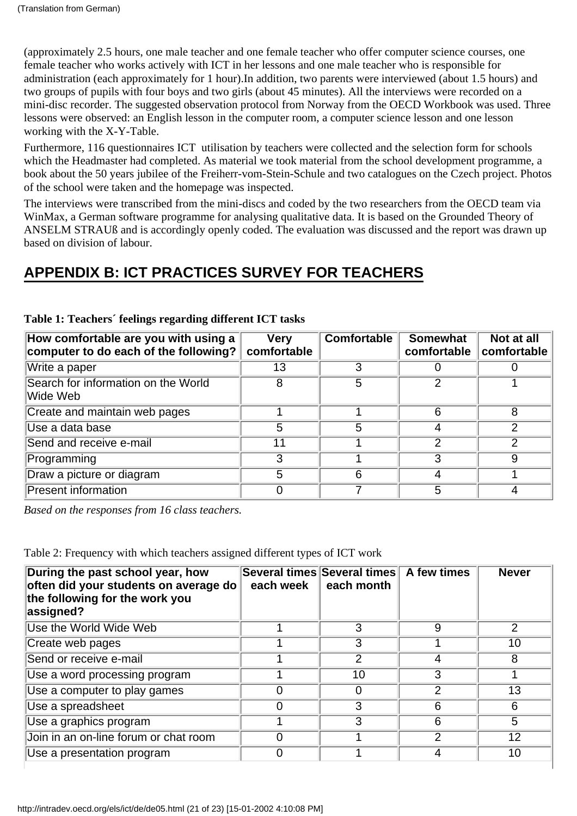(approximately 2.5 hours, one male teacher and one female teacher who offer computer science courses, one female teacher who works actively with ICT in her lessons and one male teacher who is responsible for administration (each approximately for 1 hour).In addition, two parents were interviewed (about 1.5 hours) and two groups of pupils with four boys and two girls (about 45 minutes). All the interviews were recorded on a mini-disc recorder. The suggested observation protocol from Norway from the OECD Workbook was used. Three lessons were observed: an English lesson in the computer room, a computer science lesson and one lesson working with the X-Y-Table.

Furthermore, 116 questionnaires ICT utilisation by teachers were collected and the selection form for schools which the Headmaster had completed. As material we took material from the school development programme, a book about the 50 years jubilee of the Freiherr-vom-Stein-Schule and two catalogues on the Czech project. Photos of the school were taken and the homepage was inspected.

The interviews were transcribed from the mini-discs and coded by the two researchers from the OECD team via WinMax, a German software programme for analysing qualitative data. It is based on the Grounded Theory of ANSELM STRAUß and is accordingly openly coded. The evaluation was discussed and the report was drawn up based on division of labour.

### <span id="page-20-0"></span>**APPENDIX B: ICT PRACTICES SURVEY FOR TEACHERS**

| How comfortable are you with using a<br>computer to do each of the following? | <b>Very</b><br>comfortable | <b>Comfortable</b> | <b>Somewhat</b><br>comfortable | Not at all<br>comfortable |
|-------------------------------------------------------------------------------|----------------------------|--------------------|--------------------------------|---------------------------|
| Write a paper                                                                 | 13                         |                    |                                |                           |
| Search for information on the World<br>Wide Web                               | 8                          | 5                  |                                |                           |
| Create and maintain web pages                                                 |                            |                    | 6                              | 8                         |
| Use a data base                                                               | 5                          | 5                  |                                |                           |
| Send and receive e-mail                                                       | 11                         |                    | າ                              |                           |
| Programming                                                                   | 3                          |                    |                                |                           |
| Draw a picture or diagram                                                     | 5                          |                    |                                |                           |
| <b>Present information</b>                                                    |                            |                    | 5                              |                           |

**Table 1: Teachers´ feelings regarding different ICT tasks**

*Based on the responses from 16 class teachers.*

Table 2: Frequency with which teachers assigned different types of ICT work

| During the past school year, how<br>often did your students on average do<br>the following for the work you<br>assigned? | each week | Several times Several times<br>$\parallel$ each month | A few times | <b>Never</b> |
|--------------------------------------------------------------------------------------------------------------------------|-----------|-------------------------------------------------------|-------------|--------------|
| Use the World Wide Web                                                                                                   |           | 3                                                     | 9           | 2            |
| Create web pages                                                                                                         |           | 3                                                     |             | 10           |
| Send or receive e-mail                                                                                                   |           | 2                                                     | 4           | 8            |
| Use a word processing program                                                                                            |           | 10                                                    | 3           |              |
| Use a computer to play games                                                                                             | 0         |                                                       | っ           | 13           |
| Use a spreadsheet                                                                                                        | 0         | 3                                                     | 6           | 6            |
| Use a graphics program                                                                                                   |           | 3                                                     | 6           | 5            |
| Join in an on-line forum or chat room                                                                                    | 0         |                                                       | 2           | 12           |
| Use a presentation program                                                                                               | 0         |                                                       | 4           | 10           |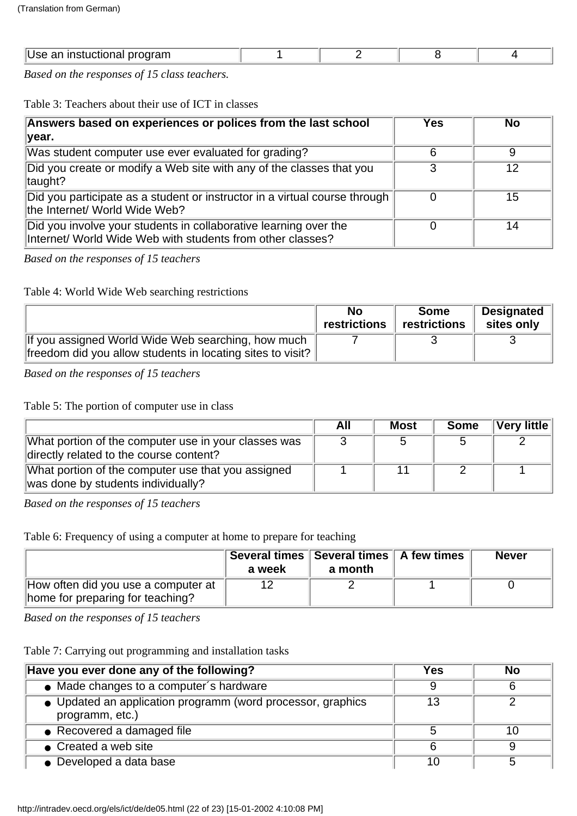| ш<br>$-1$ $-1$ $-1$<br>ш.<br><b><u>CHILL</u></b> |  |  |
|--------------------------------------------------|--|--|
|                                                  |  |  |

*Based on the responses of 15 class teachers.*

Table 3: Teachers about their use of ICT in classes

| Answers based on experiences or polices from the last school                                                                   | Yes | <b>No</b> |
|--------------------------------------------------------------------------------------------------------------------------------|-----|-----------|
| year.                                                                                                                          |     |           |
| Was student computer use ever evaluated for grading?                                                                           | 6   |           |
| Did you create or modify a Web site with any of the classes that you<br>taught?                                                |     | 12        |
| Did you participate as a student or instructor in a virtual course through<br>the Internet/ World Wide Web?                    | 0   | 15        |
| Did you involve your students in collaborative learning over the<br>Internet/ World Wide Web with students from other classes? |     | 14        |

*Based on the responses of 15 teachers*

Table 4: World Wide Web searching restrictions

|                                                            | No<br>restrictions | <b>Some</b><br>restrictions | <b>Designated</b><br>sites only |
|------------------------------------------------------------|--------------------|-----------------------------|---------------------------------|
| If you assigned World Wide Web searching, how much         |                    |                             |                                 |
| freedom did you allow students in locating sites to visit? |                    |                             |                                 |

*Based on the responses of 15 teachers*

Table 5: The portion of computer use in class

|                                                                                                 | All | <b>Most</b> | <b>Some</b> | $\sqrt{\textsf{V}}$ ery little |
|-------------------------------------------------------------------------------------------------|-----|-------------|-------------|--------------------------------|
| What portion of the computer use in your classes was<br>directly related to the course content? |     |             |             |                                |
| What portion of the computer use that you assigned<br>was done by students individually?        |     |             |             |                                |

*Based on the responses of 15 teachers*

Table 6: Frequency of using a computer at home to prepare for teaching

|                                                                         | a week | Several times   Several times   A few times<br>a month | <b>Never</b> |
|-------------------------------------------------------------------------|--------|--------------------------------------------------------|--------------|
| How often did you use a computer at<br>home for preparing for teaching? |        |                                                        |              |

*Based on the responses of 15 teachers*

Table 7: Carrying out programming and installation tasks

| Have you ever done any of the following?                                       | Yes | <b>No</b> |
|--------------------------------------------------------------------------------|-----|-----------|
| • Made changes to a computer's hardware                                        |     |           |
| • Updated an application programm (word processor, graphics<br>programm, etc.) | 13  |           |
| • Recovered a damaged file                                                     | 5   | 10        |
| • Created a web site                                                           | 6   |           |
| • Developed a data base                                                        | 10  |           |